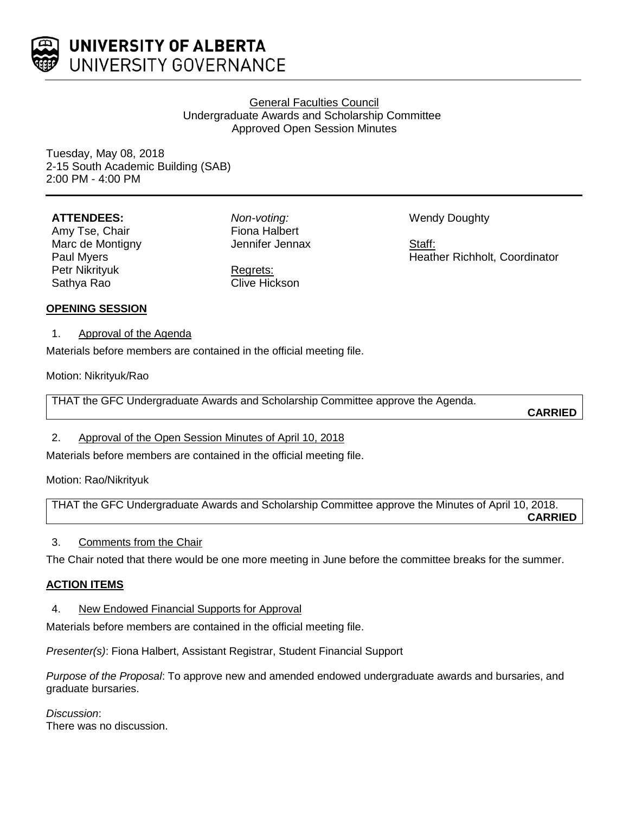

# General Faculties Council Undergraduate Awards and Scholarship Committee Approved Open Session Minutes

Tuesday, May 08, 2018 2-15 South Academic Building (SAB) 2:00 PM - 4:00 PM

## **ATTENDEES:**

Amy Tse, Chair Marc de Montigny Paul Myers Petr Nikrityuk Sathya Rao

*Non-voting:* Fiona Halbert Jennifer Jennax

Regrets: Clive Hickson Wendy Doughty

Staff: Heather Richholt, Coordinator

## **OPENING SESSION**

1. Approval of the Agenda

Materials before members are contained in the official meeting file.

Motion: Nikrityuk/Rao

THAT the GFC Undergraduate Awards and Scholarship Committee approve the Agenda.

**CARRIED**

# 2. Approval of the Open Session Minutes of April 10, 2018

Materials before members are contained in the official meeting file.

Motion: Rao/Nikrityuk

THAT the GFC Undergraduate Awards and Scholarship Committee approve the Minutes of April 10, 2018. **CARRIED**

## 3. Comments from the Chair

The Chair noted that there would be one more meeting in June before the committee breaks for the summer.

# **ACTION ITEMS**

4. New Endowed Financial Supports for Approval

Materials before members are contained in the official meeting file.

*Presenter(s)*: Fiona Halbert, Assistant Registrar, Student Financial Support

*Purpose of the Proposal*: To approve new and amended endowed undergraduate awards and bursaries, and graduate bursaries.

*Discussion*: There was no discussion.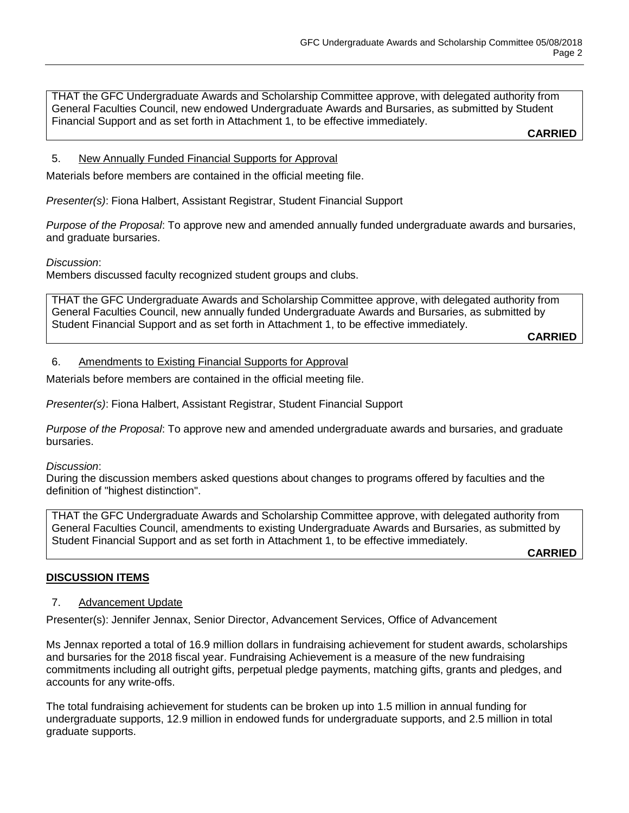THAT the GFC Undergraduate Awards and Scholarship Committee approve, with delegated authority from General Faculties Council, new endowed Undergraduate Awards and Bursaries, as submitted by Student Financial Support and as set forth in Attachment 1, to be effective immediately.

**CARRIED**

### 5. New Annually Funded Financial Supports for Approval

Materials before members are contained in the official meeting file.

*Presenter(s)*: Fiona Halbert, Assistant Registrar, Student Financial Support

*Purpose of the Proposal*: To approve new and amended annually funded undergraduate awards and bursaries, and graduate bursaries.

*Discussion*:

Members discussed faculty recognized student groups and clubs.

THAT the GFC Undergraduate Awards and Scholarship Committee approve, with delegated authority from General Faculties Council, new annually funded Undergraduate Awards and Bursaries, as submitted by Student Financial Support and as set forth in Attachment 1, to be effective immediately.

**CARRIED**

#### 6. Amendments to Existing Financial Supports for Approval

Materials before members are contained in the official meeting file.

*Presenter(s)*: Fiona Halbert, Assistant Registrar, Student Financial Support

*Purpose of the Proposal*: To approve new and amended undergraduate awards and bursaries, and graduate bursaries.

*Discussion*:

During the discussion members asked questions about changes to programs offered by faculties and the definition of "highest distinction".

THAT the GFC Undergraduate Awards and Scholarship Committee approve, with delegated authority from General Faculties Council, amendments to existing Undergraduate Awards and Bursaries, as submitted by Student Financial Support and as set forth in Attachment 1, to be effective immediately.

**CARRIED**

#### **DISCUSSION ITEMS**

## 7. Advancement Update

Presenter(s): Jennifer Jennax, Senior Director, Advancement Services, Office of Advancement

Ms Jennax reported a total of 16.9 million dollars in fundraising achievement for student awards, scholarships and bursaries for the 2018 fiscal year. Fundraising Achievement is a measure of the new fundraising commitments including all outright gifts, perpetual pledge payments, matching gifts, grants and pledges, and accounts for any write-offs.

The total fundraising achievement for students can be broken up into 1.5 million in annual funding for undergraduate supports, 12.9 million in endowed funds for undergraduate supports, and 2.5 million in total graduate supports.